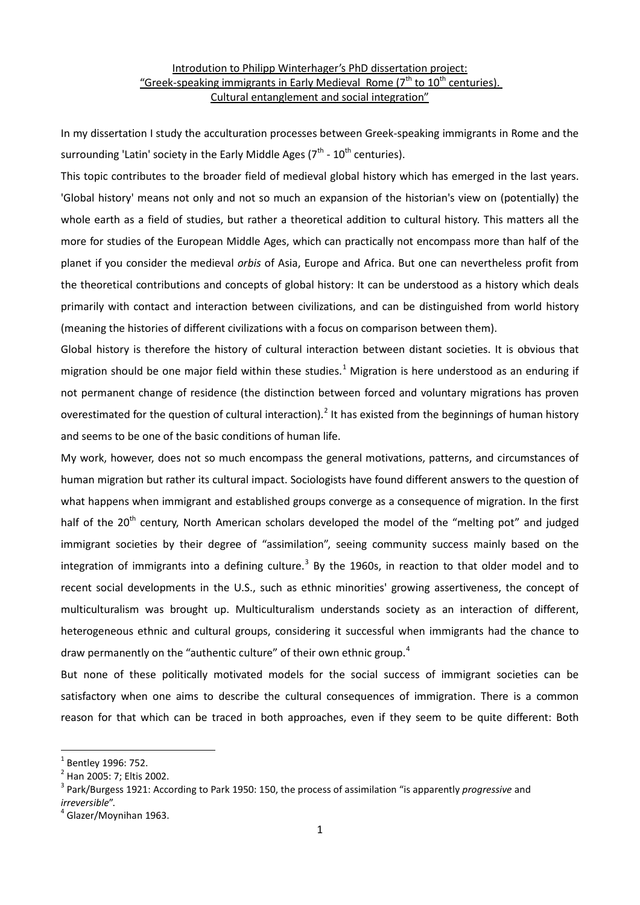## Introdution to Philipp Winterhager's PhD dissertation project: "Greek-speaking immigrants in Early Medieval Rome ( $7<sup>th</sup>$  to  $10<sup>th</sup>$  centuries). Cultural entanglement and social integration"

In my dissertation I study the acculturation processes between Greek-speaking immigrants in Rome and the surrounding 'Latin' society in the Early Middle Ages ( $7<sup>th</sup>$  -  $10<sup>th</sup>$  centuries).

This topic contributes to the broader field of medieval global history which has emerged in the last years. 'Global history' means not only and not so much an expansion of the historian's view on (potentially) the whole earth as a field of studies, but rather a theoretical addition to cultural history. This matters all the more for studies of the European Middle Ages, which can practically not encompass more than half of the planet if you consider the medieval *orbis* of Asia, Europe and Africa. But one can nevertheless profit from the theoretical contributions and concepts of global history: It can be understood as a history which deals primarily with contact and interaction between civilizations, and can be distinguished from world history (meaning the histories of different civilizations with a focus on comparison between them).

Global history is therefore the history of cultural interaction between distant societies. It is obvious that migration should be one major field within these studies.<sup>[1](#page-0-0)</sup> Migration is here understood as an enduring if not permanent change of residence (the distinction between forced and voluntary migrations has proven overestimated for the question of cultural interaction).<sup>[2](#page-0-1)</sup> It has existed from the beginnings of human history and seems to be one of the basic conditions of human life.

My work, however, does not so much encompass the general motivations, patterns, and circumstances of human migration but rather its cultural impact. Sociologists have found different answers to the question of what happens when immigrant and established groups converge as a consequence of migration. In the first half of the 20<sup>th</sup> century, North American scholars developed the model of the "melting pot" and judged immigrant societies by their degree of "assimilation", seeing community success mainly based on the integration of immigrants into a defining culture.<sup>[3](#page-0-2)</sup> By the 1960s, in reaction to that older model and to recent social developments in the U.S., such as ethnic minorities' growing assertiveness, the concept of multiculturalism was brought up. Multiculturalism understands society as an interaction of different, heterogeneous ethnic and cultural groups, considering it successful when immigrants had the chance to draw permanently on the "authentic culture" of their own ethnic group.<sup>[4](#page-0-3)</sup>

But none of these politically motivated models for the social success of immigrant societies can be satisfactory when one aims to describe the cultural consequences of immigration. There is a common reason for that which can be traced in both approaches, even if they seem to be quite different: Both

<span id="page-0-0"></span> $^{1}$  Bentley 1996: 752.<br> $^{2}$  Han 2005: 7; Eltis 2002.

<span id="page-0-2"></span><span id="page-0-1"></span><sup>&</sup>lt;sup>3</sup> Park/Burgess 1921: According to Park 1950: 150, the process of assimilation "is apparently *progressive* and *irreversible*". <sup>4</sup> Glazer/Moynihan 1963.

<span id="page-0-3"></span>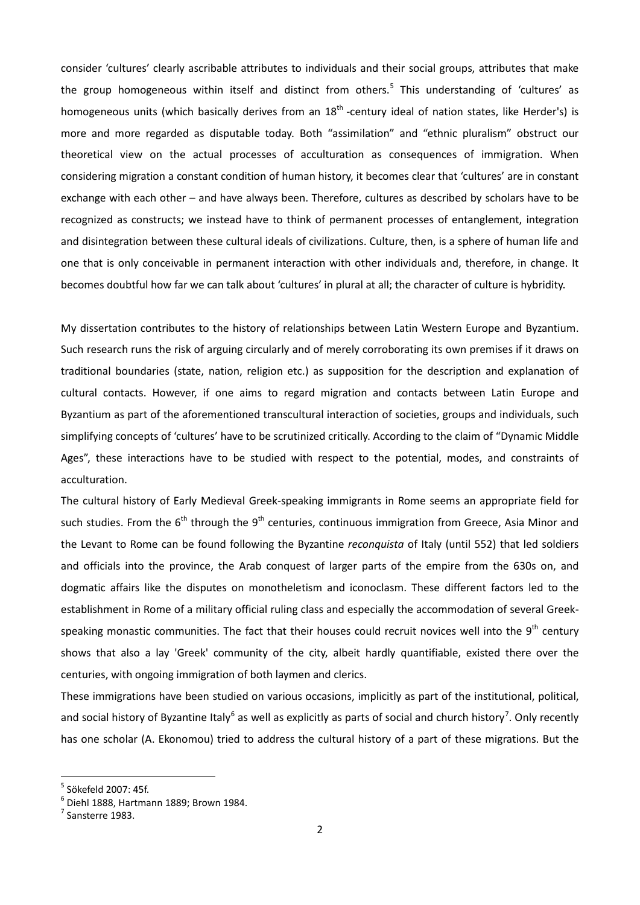consider 'cultures' clearly ascribable attributes to individuals and their social groups, attributes that make the group homogeneous within itself and distinct from others.<sup>[5](#page-1-0)</sup> This understanding of 'cultures' as homogeneous units (which basically derives from an 18<sup>th</sup> -century ideal of nation states, like Herder's) is more and more regarded as disputable today. Both "assimilation" and "ethnic pluralism" obstruct our theoretical view on the actual processes of acculturation as consequences of immigration. When considering migration a constant condition of human history, it becomes clear that 'cultures' are in constant exchange with each other – and have always been. Therefore, cultures as described by scholars have to be recognized as constructs; we instead have to think of permanent processes of entanglement, integration and disintegration between these cultural ideals of civilizations. Culture, then, is a sphere of human life and one that is only conceivable in permanent interaction with other individuals and, therefore, in change. It becomes doubtful how far we can talk about 'cultures' in plural at all; the character of culture is hybridity.

My dissertation contributes to the history of relationships between Latin Western Europe and Byzantium. Such research runs the risk of arguing circularly and of merely corroborating its own premises if it draws on traditional boundaries (state, nation, religion etc.) as supposition for the description and explanation of cultural contacts. However, if one aims to regard migration and contacts between Latin Europe and Byzantium as part of the aforementioned transcultural interaction of societies, groups and individuals, such simplifying concepts of 'cultures' have to be scrutinized critically. According to the claim of "Dynamic Middle Ages", these interactions have to be studied with respect to the potential, modes, and constraints of acculturation.

The cultural history of Early Medieval Greek-speaking immigrants in Rome seems an appropriate field for such studies. From the 6<sup>th</sup> through the 9<sup>th</sup> centuries, continuous immigration from Greece, Asia Minor and the Levant to Rome can be found following the Byzantine *reconquista* of Italy (until 552) that led soldiers and officials into the province, the Arab conquest of larger parts of the empire from the 630s on, and dogmatic affairs like the disputes on monotheletism and iconoclasm. These different factors led to the establishment in Rome of a military official ruling class and especially the accommodation of several Greekspeaking monastic communities. The fact that their houses could recruit novices well into the  $9<sup>th</sup>$  centurv shows that also a lay 'Greek' community of the city, albeit hardly quantifiable, existed there over the centuries, with ongoing immigration of both laymen and clerics.

These immigrations have been studied on various occasions, implicitly as part of the institutional, political, and social history of Byzantine Italy<sup>[6](#page-1-1)</sup> as well as explicitly as parts of social and church history<sup>[7](#page-1-2)</sup>. Only recently has one scholar (A. Ekonomou) tried to address the cultural history of a part of these migrations. But the

<span id="page-1-0"></span><sup>5</sup> Sökefeld 2007: 45f.

<span id="page-1-1"></span> $<sup>6</sup>$  Diehl 1888. Hartmann 1889: Brown 1984.</sup>

<span id="page-1-2"></span> $<sup>7</sup>$  Sansterre 1983.</sup>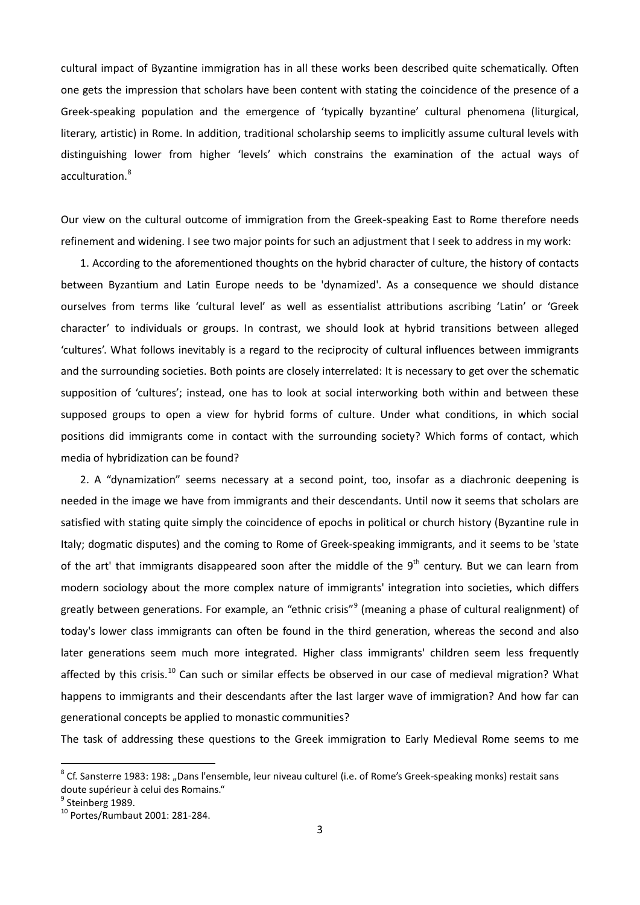cultural impact of Byzantine immigration has in all these works been described quite schematically. Often one gets the impression that scholars have been content with stating the coincidence of the presence of a Greek-speaking population and the emergence of 'typically byzantine' cultural phenomena (liturgical, literary, artistic) in Rome. In addition, traditional scholarship seems to implicitly assume cultural levels with distinguishing lower from higher 'levels' which constrains the examination of the actual ways of acculturation.<sup>[8](#page-2-0)</sup>

Our view on the cultural outcome of immigration from the Greek-speaking East to Rome therefore needs refinement and widening. I see two major points for such an adjustment that I seek to address in my work:

1. According to the aforementioned thoughts on the hybrid character of culture, the history of contacts between Byzantium and Latin Europe needs to be 'dynamized'. As a consequence we should distance ourselves from terms like 'cultural level' as well as essentialist attributions ascribing 'Latin' or 'Greek character' to individuals or groups. In contrast, we should look at hybrid transitions between alleged 'cultures'. What follows inevitably is a regard to the reciprocity of cultural influences between immigrants and the surrounding societies. Both points are closely interrelated: It is necessary to get over the schematic supposition of 'cultures'; instead, one has to look at social interworking both within and between these supposed groups to open a view for hybrid forms of culture. Under what conditions, in which social positions did immigrants come in contact with the surrounding society? Which forms of contact, which media of hybridization can be found?

2. A "dynamization" seems necessary at a second point, too, insofar as a diachronic deepening is needed in the image we have from immigrants and their descendants. Until now it seems that scholars are satisfied with stating quite simply the coincidence of epochs in political or church history (Byzantine rule in Italy; dogmatic disputes) and the coming to Rome of Greek-speaking immigrants, and it seems to be 'state of the art' that immigrants disappeared soon after the middle of the  $9<sup>th</sup>$  century. But we can learn from modern sociology about the more complex nature of immigrants' integration into societies, which differs greatly between generations. For example, an "ethnic crisis"<sup>[9](#page-2-1)</sup> (meaning a phase of cultural realignment) of today's lower class immigrants can often be found in the third generation, whereas the second and also later generations seem much more integrated. Higher class immigrants' children seem less frequently affected by this crisis.<sup>[10](#page-2-2)</sup> Can such or similar effects be observed in our case of medieval migration? What happens to immigrants and their descendants after the last larger wave of immigration? And how far can generational concepts be applied to monastic communities?

The task of addressing these questions to the Greek immigration to Early Medieval Rome seems to me

<span id="page-2-0"></span><sup>&</sup>lt;sup>8</sup> Cf. Sansterre 1983: 198: "Dans l'ensemble, leur niveau culturel (i.e. of Rome's Greek-speaking monks) restait sans doute supérieur à celui des Romains."

<span id="page-2-1"></span><sup>&</sup>lt;sup>9</sup> Steinberg 1989.

<span id="page-2-2"></span><sup>10</sup> Portes/Rumbaut 2001: 281-284.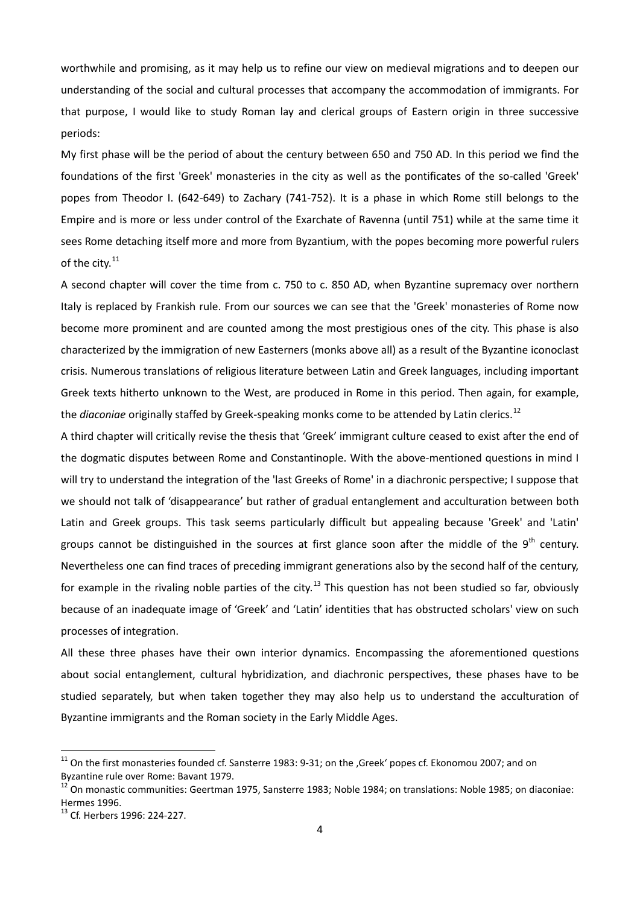worthwhile and promising, as it may help us to refine our view on medieval migrations and to deepen our understanding of the social and cultural processes that accompany the accommodation of immigrants. For that purpose, I would like to study Roman lay and clerical groups of Eastern origin in three successive periods:

My first phase will be the period of about the century between 650 and 750 AD. In this period we find the foundations of the first 'Greek' monasteries in the city as well as the pontificates of the so-called 'Greek' popes from Theodor I. (642-649) to Zachary (741-752). It is a phase in which Rome still belongs to the Empire and is more or less under control of the Exarchate of Ravenna (until 751) while at the same time it sees Rome detaching itself more and more from Byzantium, with the popes becoming more powerful rulers of the city.<sup>[11](#page-3-0)</sup>

A second chapter will cover the time from c. 750 to c. 850 AD, when Byzantine supremacy over northern Italy is replaced by Frankish rule. From our sources we can see that the 'Greek' monasteries of Rome now become more prominent and are counted among the most prestigious ones of the city. This phase is also characterized by the immigration of new Easterners (monks above all) as a result of the Byzantine iconoclast crisis. Numerous translations of religious literature between Latin and Greek languages, including important Greek texts hitherto unknown to the West, are produced in Rome in this period. Then again, for example, the *diaconiae* originally staffed by Greek-speaking monks come to be attended by Latin clerics.<sup>[12](#page-3-1)</sup>

A third chapter will critically revise the thesis that 'Greek' immigrant culture ceased to exist after the end of the dogmatic disputes between Rome and Constantinople. With the above-mentioned questions in mind I will try to understand the integration of the 'last Greeks of Rome' in a diachronic perspective; I suppose that we should not talk of 'disappearance' but rather of gradual entanglement and acculturation between both Latin and Greek groups. This task seems particularly difficult but appealing because 'Greek' and 'Latin' groups cannot be distinguished in the sources at first glance soon after the middle of the  $9<sup>th</sup>$  century. Nevertheless one can find traces of preceding immigrant generations also by the second half of the century, for example in the rivaling noble parties of the city.<sup>[13](#page-3-2)</sup> This question has not been studied so far, obviously because of an inadequate image of 'Greek' and 'Latin' identities that has obstructed scholars' view on such processes of integration.

All these three phases have their own interior dynamics. Encompassing the aforementioned questions about social entanglement, cultural hybridization, and diachronic perspectives, these phases have to be studied separately, but when taken together they may also help us to understand the acculturation of Byzantine immigrants and the Roman society in the Early Middle Ages.

<span id="page-3-0"></span> $11$  On the first monasteries founded cf. Sansterre 1983: 9-31; on the ,Greek' popes cf. Ekonomou 2007; and on Byzantine rule over Rome: Bavant 1979.

<span id="page-3-1"></span> $^{12}$  On monastic communities: Geertman 1975, Sansterre 1983; Noble 1984; on translations: Noble 1985; on diaconiae: Hermes 1996.

<span id="page-3-2"></span><sup>&</sup>lt;sup>13</sup> Cf. Herbers 1996: 224-227.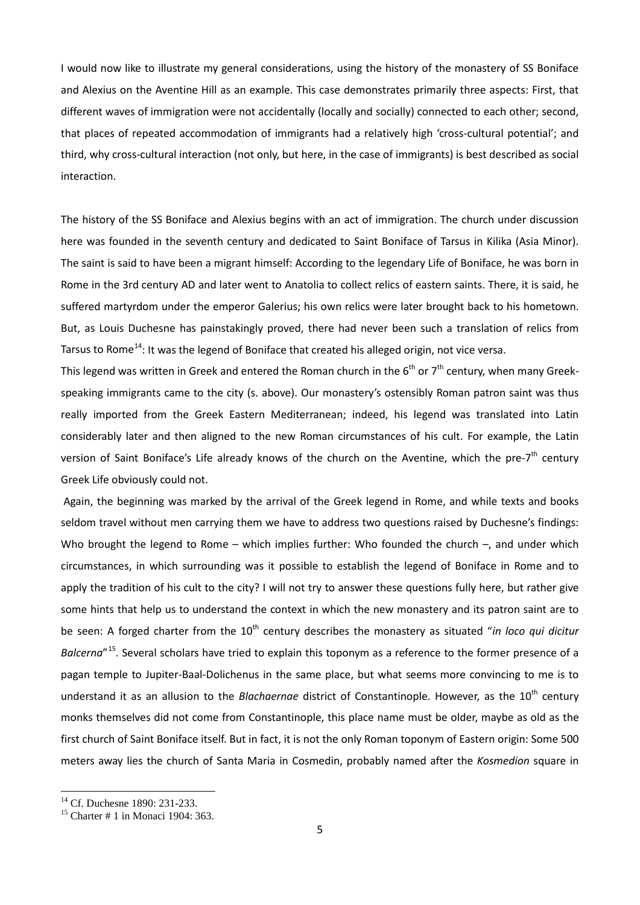I would now like to illustrate my general considerations, using the history of the monastery of SS Boniface and Alexius on the Aventine Hill as an example. This case demonstrates primarily three aspects: First, that different waves of immigration were not accidentally (locally and socially) connected to each other; second, that places of repeated accommodation of immigrants had a relatively high 'cross-cultural potential'; and third, why cross-cultural interaction (not only, but here, in the case of immigrants) is best described as social interaction.

The history of the SS Boniface and Alexius begins with an act of immigration. The church under discussion here was founded in the seventh century and dedicated to Saint Boniface of Tarsus in Kilika (Asia Minor). The saint is said to have been a migrant himself: According to the legendary Life of Boniface, he was born in Rome in the 3rd century AD and later went to Anatolia to collect relics of eastern saints. There, it is said, he suffered martyrdom under the emperor Galerius; his own relics were later brought back to his hometown. But, as Louis Duchesne has painstakingly proved, there had never been such a translation of relics from Tarsus to Rome<sup>[14](#page-4-0)</sup>: It was the legend of Boniface that created his alleged origin, not vice versa.

This legend was written in Greek and entered the Roman church in the  $6<sup>th</sup>$  or  $7<sup>th</sup>$  century, when many Greekspeaking immigrants came to the city (s. above). Our monastery's ostensibly Roman patron saint was thus really imported from the Greek Eastern Mediterranean; indeed, his legend was translated into Latin considerably later and then aligned to the new Roman circumstances of his cult. For example, the Latin version of Saint Boniface's Life already knows of the church on the Aventine, which the pre-7<sup>th</sup> century Greek Life obviously could not.

Again, the beginning was marked by the arrival of the Greek legend in Rome, and while texts and books seldom travel without men carrying them we have to address two questions raised by Duchesne's findings: Who brought the legend to Rome – which implies further: Who founded the church –, and under which circumstances, in which surrounding was it possible to establish the legend of Boniface in Rome and to apply the tradition of his cult to the city? I will not try to answer these questions fully here, but rather give some hints that help us to understand the context in which the new monastery and its patron saint are to be seen: A forged charter from the 10<sup>th</sup> century describes the monastery as situated "*in loco qui dicitur Balcerna*"[15.](#page-4-1) Several scholars have tried to explain this toponym as a reference to the former presence of a pagan temple to Jupiter-Baal-Dolichenus in the same place, but what seems more convincing to me is to understand it as an allusion to the *Blachaernae* district of Constantinople. However, as the 10<sup>th</sup> century monks themselves did not come from Constantinople, this place name must be older, maybe as old as the first church of Saint Boniface itself. But in fact, it is not the only Roman toponym of Eastern origin: Some 500 meters away lies the church of Santa Maria in Cosmedin, probably named after the *Kosmedion* square in

<span id="page-4-0"></span><sup>&</sup>lt;sup>14</sup> Cf. Duchesne 1890: 231-233.<br><sup>15</sup> Charter # 1 in Monaci 1904: 363.

<span id="page-4-1"></span>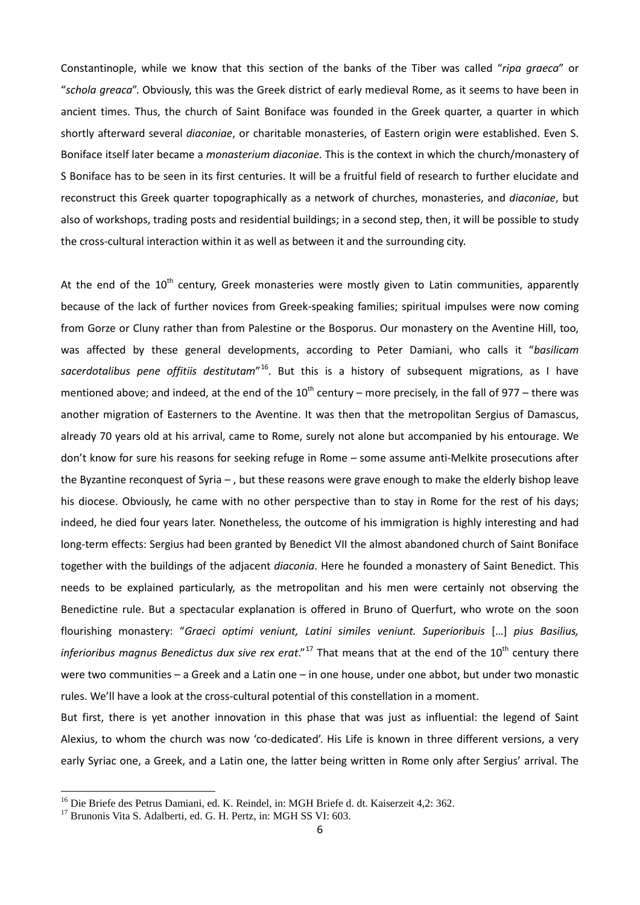Constantinople, while we know that this section of the banks of the Tiber was called "*ripa graeca*" or "*schola greaca*". Obviously, this was the Greek district of early medieval Rome, as it seems to have been in ancient times. Thus, the church of Saint Boniface was founded in the Greek quarter, a quarter in which shortly afterward several *diaconiae*, or charitable monasteries, of Eastern origin were established. Even S. Boniface itself later became a *monasterium diaconiae*. This is the context in which the church/monastery of S Boniface has to be seen in its first centuries. It will be a fruitful field of research to further elucidate and reconstruct this Greek quarter topographically as a network of churches, monasteries, and *diaconiae*, but also of workshops, trading posts and residential buildings; in a second step, then, it will be possible to study the cross-cultural interaction within it as well as between it and the surrounding city.

At the end of the  $10<sup>th</sup>$  century, Greek monasteries were mostly given to Latin communities, apparently because of the lack of further novices from Greek-speaking families; spiritual impulses were now coming from Gorze or Cluny rather than from Palestine or the Bosporus. Our monastery on the Aventine Hill, too, was affected by these general developments, according to Peter Damiani, who calls it "*basilicam sacerdotalibus pene offitiis destitutam*"[16.](#page-5-0) But this is a history of subsequent migrations, as I have mentioned above; and indeed, at the end of the  $10^{th}$  century – more precisely, in the fall of 977 – there was another migration of Easterners to the Aventine. It was then that the metropolitan Sergius of Damascus, already 70 years old at his arrival, came to Rome, surely not alone but accompanied by his entourage. We don't know for sure his reasons for seeking refuge in Rome – some assume anti-Melkite prosecutions after the Byzantine reconquest of Syria – , but these reasons were grave enough to make the elderly bishop leave his diocese. Obviously, he came with no other perspective than to stay in Rome for the rest of his days; indeed, he died four years later. Nonetheless, the outcome of his immigration is highly interesting and had long-term effects: Sergius had been granted by Benedict VII the almost abandoned church of Saint Boniface together with the buildings of the adjacent *diaconia*. Here he founded a monastery of Saint Benedict. This needs to be explained particularly, as the metropolitan and his men were certainly not observing the Benedictine rule. But a spectacular explanation is offered in Bruno of Querfurt, who wrote on the soon flourishing monastery: "*Graeci optimi veniunt, Latini similes veniunt. Superioribuis* […] *pius Basilius, inferioribus magnus Benedictus dux sive rex erat."*<sup>[17](#page-5-1)</sup> That means that at the end of the 10<sup>th</sup> century there were two communities – a Greek and a Latin one – in one house, under one abbot, but under two monastic rules. We'll have a look at the cross-cultural potential of this constellation in a moment.

But first, there is yet another innovation in this phase that was just as influential: the legend of Saint Alexius, to whom the church was now 'co-dedicated'. His Life is known in three different versions, a very early Syriac one, a Greek, and a Latin one, the latter being written in Rome only after Sergius' arrival. The

<span id="page-5-0"></span><sup>&</sup>lt;sup>16</sup> Die Briefe des Petrus Damiani, ed. K. Reindel, in: MGH Briefe d. dt. Kaiserzeit 4,2: 362. <sup>17</sup> Brunonis Vita S. Adalberti, ed. G. H. Pertz, in: MGH SS VI: 603.

<span id="page-5-1"></span>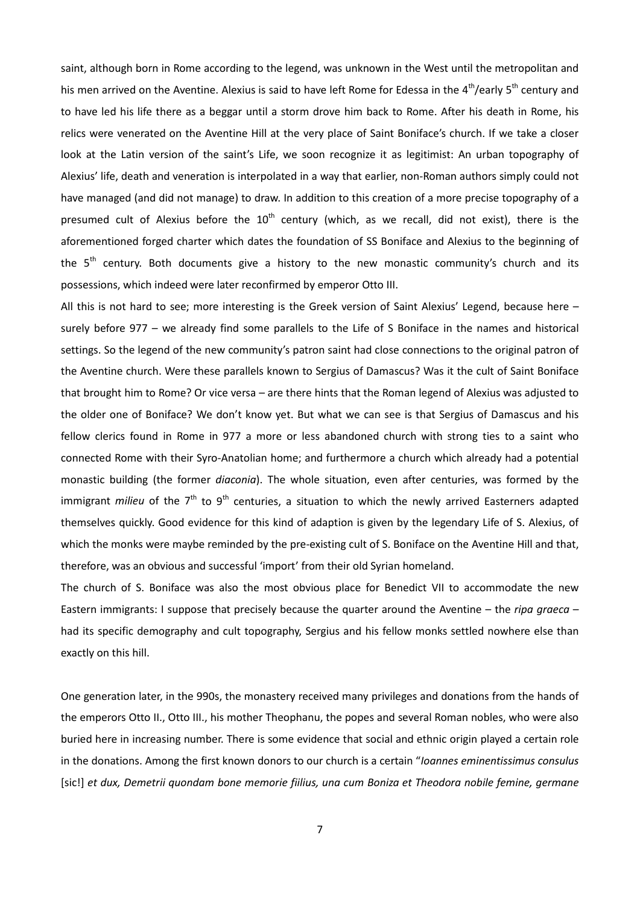saint, although born in Rome according to the legend, was unknown in the West until the metropolitan and his men arrived on the Aventine. Alexius is said to have left Rome for Edessa in the 4<sup>th</sup>/early 5<sup>th</sup> century and to have led his life there as a beggar until a storm drove him back to Rome. After his death in Rome, his relics were venerated on the Aventine Hill at the very place of Saint Boniface's church. If we take a closer look at the Latin version of the saint's Life, we soon recognize it as legitimist: An urban topography of Alexius' life, death and veneration is interpolated in a way that earlier, non-Roman authors simply could not have managed (and did not manage) to draw. In addition to this creation of a more precise topography of a presumed cult of Alexius before the  $10<sup>th</sup>$  century (which, as we recall, did not exist), there is the aforementioned forged charter which dates the foundation of SS Boniface and Alexius to the beginning of the  $5<sup>th</sup>$  century. Both documents give a history to the new monastic community's church and its possessions, which indeed were later reconfirmed by emperor Otto III.

All this is not hard to see; more interesting is the Greek version of Saint Alexius' Legend, because here – surely before 977 – we already find some parallels to the Life of S Boniface in the names and historical settings. So the legend of the new community's patron saint had close connections to the original patron of the Aventine church. Were these parallels known to Sergius of Damascus? Was it the cult of Saint Boniface that brought him to Rome? Or vice versa – are there hints that the Roman legend of Alexius was adjusted to the older one of Boniface? We don't know yet. But what we can see is that Sergius of Damascus and his fellow clerics found in Rome in 977 a more or less abandoned church with strong ties to a saint who connected Rome with their Syro-Anatolian home; and furthermore a church which already had a potential monastic building (the former *diaconia*). The whole situation, even after centuries, was formed by the immigrant *milieu* of the 7<sup>th</sup> to 9<sup>th</sup> centuries, a situation to which the newly arrived Easterners adapted themselves quickly. Good evidence for this kind of adaption is given by the legendary Life of S. Alexius, of which the monks were maybe reminded by the pre-existing cult of S. Boniface on the Aventine Hill and that, therefore, was an obvious and successful 'import' from their old Syrian homeland.

The church of S. Boniface was also the most obvious place for Benedict VII to accommodate the new Eastern immigrants: I suppose that precisely because the quarter around the Aventine – the *ripa graeca* – had its specific demography and cult topography, Sergius and his fellow monks settled nowhere else than exactly on this hill.

One generation later, in the 990s, the monastery received many privileges and donations from the hands of the emperors Otto II., Otto III., his mother Theophanu, the popes and several Roman nobles, who were also buried here in increasing number. There is some evidence that social and ethnic origin played a certain role in the donations. Among the first known donors to our church is a certain "*Ioannes eminentissimus consulus* [sic!] *et dux, Demetrii quondam bone memorie fiilius, una cum Boniza et Theodora nobile femine, germane*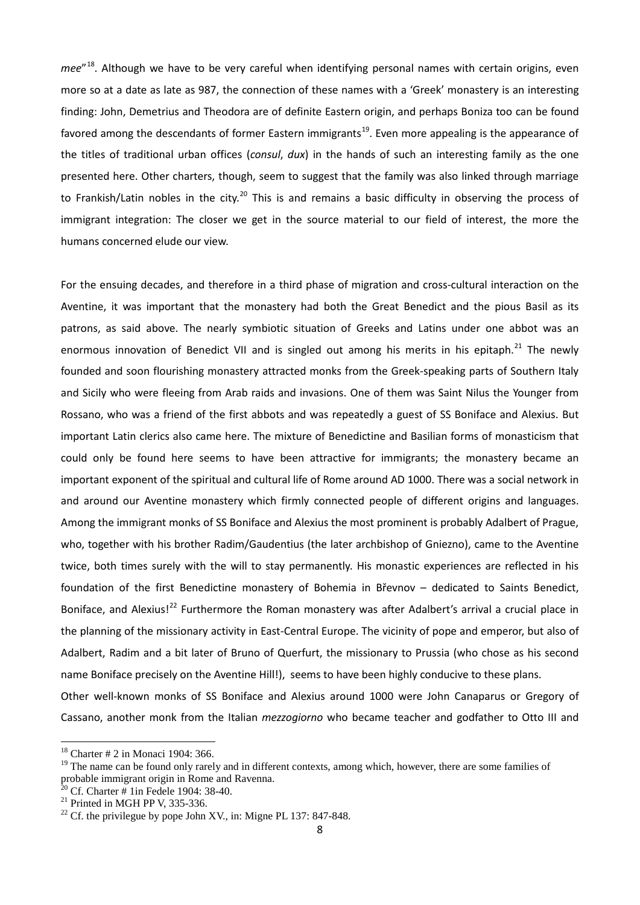*mee*<sup>"18</sup>. Although we have to be very careful when identifying personal names with certain origins, even more so at a date as late as 987, the connection of these names with a 'Greek' monastery is an interesting finding: John, Demetrius and Theodora are of definite Eastern origin, and perhaps Boniza too can be found favored among the descendants of former Eastern immigrants<sup>19</sup>. Even more appealing is the appearance of the titles of traditional urban offices (*consul*, *dux*) in the hands of such an interesting family as the one presented here. Other charters, though, seem to suggest that the family was also linked through marriage to Frankish/Latin nobles in the city.<sup>[20](#page-7-2)</sup> This is and remains a basic difficulty in observing the process of immigrant integration: The closer we get in the source material to our field of interest, the more the humans concerned elude our view.

For the ensuing decades, and therefore in a third phase of migration and cross-cultural interaction on the Aventine, it was important that the monastery had both the Great Benedict and the pious Basil as its patrons, as said above. The nearly symbiotic situation of Greeks and Latins under one abbot was an enormous innovation of Benedict VII and is singled out among his merits in his epitaph. $^{21}$  $^{21}$  $^{21}$  The newly founded and soon flourishing monastery attracted monks from the Greek-speaking parts of Southern Italy and Sicily who were fleeing from Arab raids and invasions. One of them was Saint Nilus the Younger from Rossano, who was a friend of the first abbots and was repeatedly a guest of SS Boniface and Alexius. But important Latin clerics also came here. The mixture of Benedictine and Basilian forms of monasticism that could only be found here seems to have been attractive for immigrants; the monastery became an important exponent of the spiritual and cultural life of Rome around AD 1000. There was a social network in and around our Aventine monastery which firmly connected people of different origins and languages. Among the immigrant monks of SS Boniface and Alexius the most prominent is probably Adalbert of Prague, who, together with his brother Radim/Gaudentius (the later archbishop of Gniezno), came to the Aventine twice, both times surely with the will to stay permanently. His monastic experiences are reflected in his foundation of the first Benedictine monastery of Bohemia in Břevnov – dedicated to Saints Benedict, Boniface, and Alexius!<sup>[22](#page-7-4)</sup> Furthermore the Roman monastery was after Adalbert's arrival a crucial place in the planning of the missionary activity in East-Central Europe. The vicinity of pope and emperor, but also of Adalbert, Radim and a bit later of Bruno of Querfurt, the missionary to Prussia (who chose as his second name Boniface precisely on the Aventine Hill!), seems to have been highly conducive to these plans. Other well-known monks of SS Boniface and Alexius around 1000 were John Canaparus or Gregory of

Cassano, another monk from the Italian *mezzogiorno* who became teacher and godfather to Otto III and

<span id="page-7-0"></span> $18$  Charter # 2 in Monaci 1904: 366.

<span id="page-7-1"></span><sup>&</sup>lt;sup>19</sup> The name can be found only rarely and in different contexts, among which, however, there are some families of probable immigrant origin in Rome and Ravenna.<br><sup>20</sup> Cf. Charter # 1in Fedele 1904: 38-40.

<span id="page-7-2"></span>

<span id="page-7-4"></span><span id="page-7-3"></span>

<sup>&</sup>lt;sup>21</sup> Printed in MGH PP V, 335-336. <sup>22</sup> Cf. the privilegue by pope John XV., in: Migne PL 137: 847-848.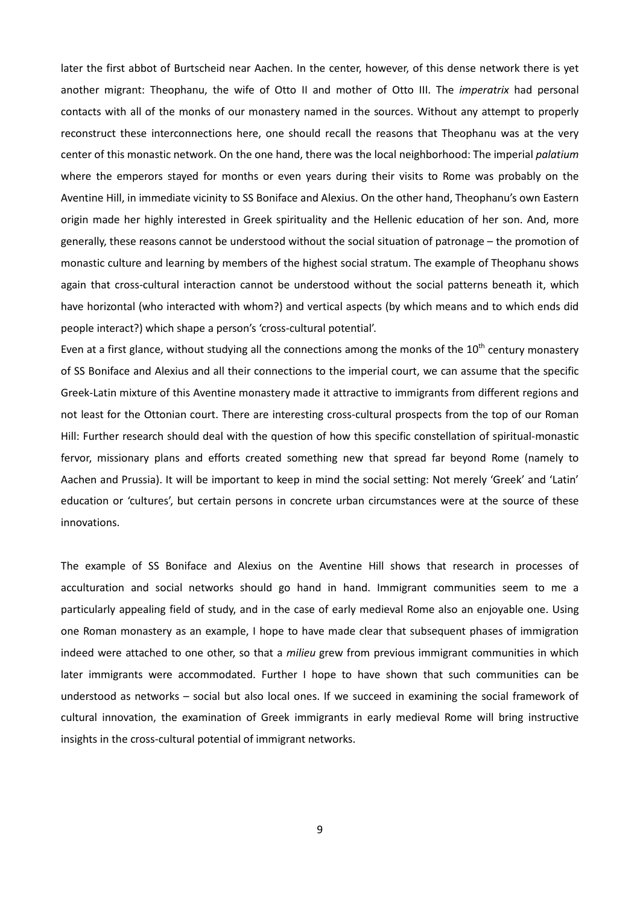later the first abbot of Burtscheid near Aachen. In the center, however, of this dense network there is yet another migrant: Theophanu, the wife of Otto II and mother of Otto III. The *imperatrix* had personal contacts with all of the monks of our monastery named in the sources. Without any attempt to properly reconstruct these interconnections here, one should recall the reasons that Theophanu was at the very center of this monastic network. On the one hand, there was the local neighborhood: The imperial *palatium* where the emperors stayed for months or even years during their visits to Rome was probably on the Aventine Hill, in immediate vicinity to SS Boniface and Alexius. On the other hand, Theophanu's own Eastern origin made her highly interested in Greek spirituality and the Hellenic education of her son. And, more generally, these reasons cannot be understood without the social situation of patronage – the promotion of monastic culture and learning by members of the highest social stratum. The example of Theophanu shows again that cross-cultural interaction cannot be understood without the social patterns beneath it, which have horizontal (who interacted with whom?) and vertical aspects (by which means and to which ends did people interact?) which shape a person's 'cross-cultural potential'.

Even at a first glance, without studying all the connections among the monks of the  $10^{th}$  century monastery of SS Boniface and Alexius and all their connections to the imperial court, we can assume that the specific Greek-Latin mixture of this Aventine monastery made it attractive to immigrants from different regions and not least for the Ottonian court. There are interesting cross-cultural prospects from the top of our Roman Hill: Further research should deal with the question of how this specific constellation of spiritual-monastic fervor, missionary plans and efforts created something new that spread far beyond Rome (namely to Aachen and Prussia). It will be important to keep in mind the social setting: Not merely 'Greek' and 'Latin' education or 'cultures', but certain persons in concrete urban circumstances were at the source of these innovations.

The example of SS Boniface and Alexius on the Aventine Hill shows that research in processes of acculturation and social networks should go hand in hand. Immigrant communities seem to me a particularly appealing field of study, and in the case of early medieval Rome also an enjoyable one. Using one Roman monastery as an example, I hope to have made clear that subsequent phases of immigration indeed were attached to one other, so that a *milieu* grew from previous immigrant communities in which later immigrants were accommodated. Further I hope to have shown that such communities can be understood as networks – social but also local ones. If we succeed in examining the social framework of cultural innovation, the examination of Greek immigrants in early medieval Rome will bring instructive insights in the cross-cultural potential of immigrant networks.

9